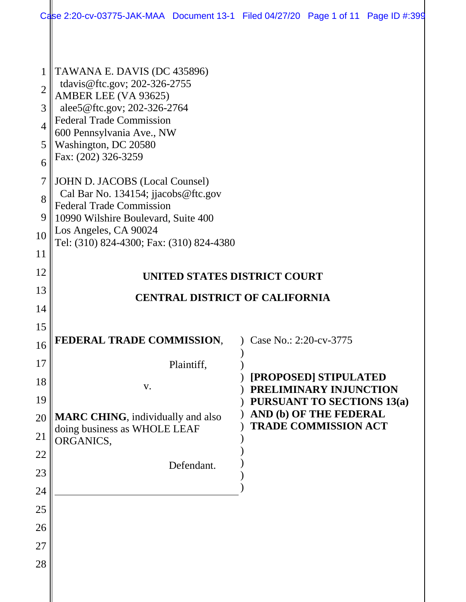|                | Case 2:20-cv-03775-JAK-MAA Document 13-1 Filed 04/27/20 Page 1 of 11 Page ID #:399 |            |                      |                                                       |  |
|----------------|------------------------------------------------------------------------------------|------------|----------------------|-------------------------------------------------------|--|
|                |                                                                                    |            |                      |                                                       |  |
| 1              | TAWANA E. DAVIS (DC 435896)<br>tdavis@ftc.gov; 202-326-2755                        |            |                      |                                                       |  |
| $\overline{2}$ | AMBER LEE (VA 93625)                                                               |            |                      |                                                       |  |
| 3              | alee5@ftc.gov; 202-326-2764<br><b>Federal Trade Commission</b>                     |            |                      |                                                       |  |
| $\overline{4}$ | 600 Pennsylvania Ave., NW                                                          |            |                      |                                                       |  |
| 5              | Washington, DC 20580<br>Fax: (202) 326-3259                                        |            |                      |                                                       |  |
| 6              |                                                                                    |            |                      |                                                       |  |
| 7              | <b>JOHN D. JACOBS (Local Counsel)</b><br>Cal Bar No. 134154; jjacobs@ftc.gov       |            |                      |                                                       |  |
| 8              | <b>Federal Trade Commission</b>                                                    |            |                      |                                                       |  |
| 9              | 10990 Wilshire Boulevard, Suite 400                                                |            |                      |                                                       |  |
| 10             | Los Angeles, CA 90024<br>Tel: (310) 824-4300; Fax: (310) 824-4380                  |            |                      |                                                       |  |
| 11             |                                                                                    |            |                      |                                                       |  |
| 12             | UNITED STATES DISTRICT COURT                                                       |            |                      |                                                       |  |
| 13             | <b>CENTRAL DISTRICT OF CALIFORNIA</b>                                              |            |                      |                                                       |  |
| 14             |                                                                                    |            |                      |                                                       |  |
| 15             |                                                                                    |            |                      |                                                       |  |
| 16             | FEDERAL TRADE COMMISSION,                                                          |            | $\log 2.20$ -cv-3775 |                                                       |  |
| 17             |                                                                                    | Plaintiff, |                      |                                                       |  |
| 18             | V.                                                                                 |            |                      | [PROPOSED] STIPULATED<br>PRELIMINARY INJUNCTION       |  |
| 19             |                                                                                    |            |                      | <b>PURSUANT TO SECTIONS 13(a)</b>                     |  |
| 20             | <b>MARC CHING</b> , individually and also<br>doing business as WHOLE LEAF          |            |                      | AND (b) OF THE FEDERAL<br><b>TRADE COMMISSION ACT</b> |  |
| 21             | ORGANICS,                                                                          |            |                      |                                                       |  |
| 22             |                                                                                    | Defendant. |                      |                                                       |  |
| 23             |                                                                                    |            |                      |                                                       |  |
| 24             |                                                                                    |            |                      |                                                       |  |
| 25             |                                                                                    |            |                      |                                                       |  |
| 26             |                                                                                    |            |                      |                                                       |  |
| 27             |                                                                                    |            |                      |                                                       |  |
| 28             |                                                                                    |            |                      |                                                       |  |
|                |                                                                                    |            |                      |                                                       |  |
|                |                                                                                    |            |                      |                                                       |  |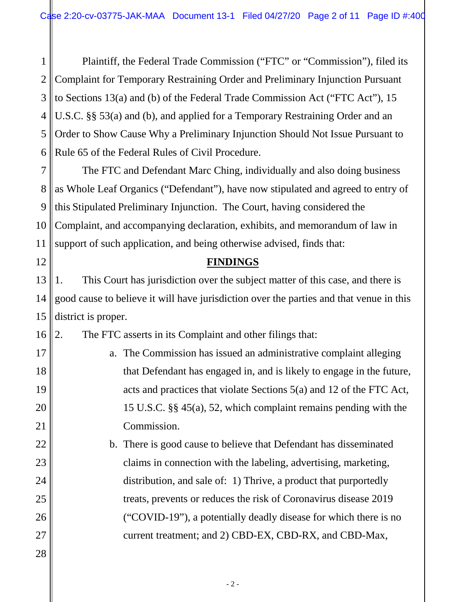1 2 3 4 5 6 Plaintiff, the Federal Trade Commission ("FTC" or "Commission"), filed its Complaint for Temporary Restraining Order and Preliminary Injunction Pursuant to Sections 13(a) and (b) of the Federal Trade Commission Act ("FTC Act"), 15 U.S.C. §§ 53(a) and (b), and applied for a Temporary Restraining Order and an Order to Show Cause Why a Preliminary Injunction Should Not Issue Pursuant to Rule 65 of the Federal Rules of Civil Procedure.

7 8 9 10 11 The FTC and Defendant Marc Ching, individually and also doing business as Whole Leaf Organics ("Defendant"), have now stipulated and agreed to entry of this Stipulated Preliminary Injunction. The Court, having considered the Complaint, and accompanying declaration, exhibits, and memorandum of law in support of such application, and being otherwise advised, finds that:

#### **FINDINGS**

13 14 15 1. This Court has jurisdiction over the subject matter of this case, and there is good cause to believe it will have jurisdiction over the parties and that venue in this district is proper.

16 2. The FTC asserts in its Complaint and other filings that:

> a. The Commission has issued an administrative complaint alleging that Defendant has engaged in, and is likely to engage in the future, acts and practices that violate Sections 5(a) and 12 of the FTC Act, 15 U.S.C. §§ 45(a), 52, which complaint remains pending with the Commission.

b. There is good cause to believe that Defendant has disseminated claims in connection with the labeling, advertising, marketing, distribution, and sale of: 1) Thrive, a product that purportedly treats, prevents or reduces the risk of Coronavirus disease 2019 ("COVID-19"), a potentially deadly disease for which there is no current treatment; and 2) CBD-EX, CBD-RX, and CBD-Max,

28

12

17

18

19

20

21

22

23

24

25

26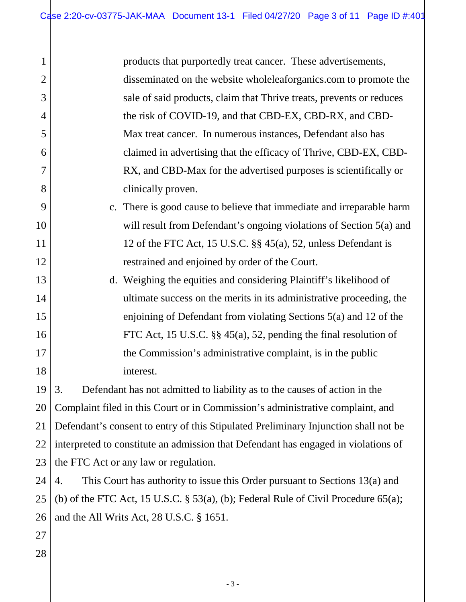|        | products that purportedly treat cancer. These advertisements,        |
|--------|----------------------------------------------------------------------|
|        | disseminated on the website whole leaf organics.com to promote the   |
|        | sale of said products, claim that Thrive treats, prevents or reduces |
|        | the risk of COVID-19, and that CBD-EX, CBD-RX, and CBD-              |
|        | Max treat cancer. In numerous instances, Defendant also has          |
|        | claimed in advertising that the efficacy of Thrive, CBD-EX, CBD-     |
|        | RX, and CBD-Max for the advertised purposes is scientifically or     |
|        | clinically proven.                                                   |
| $\sim$ | There is good cause to believe that immediate and irreparable harm   |

- is good cause to believe that immediate and irreparable harm will result from Defendant's ongoing violations of Section 5(a) and 12 of the FTC Act, 15 U.S.C. §§ 45(a), 52, unless Defendant is restrained and enjoined by order of the Court.
- d. Weighing the equities and considering Plaintiff's likelihood of ultimate success on the merits in its administrative proceeding, the enjoining of Defendant from violating Sections 5(a) and 12 of the FTC Act, 15 U.S.C. §§ 45(a), 52, pending the final resolution of the Commission's administrative complaint, is in the public interest.

19 20 21 22 23 3. Defendant has not admitted to liability as to the causes of action in the Complaint filed in this Court or in Commission's administrative complaint, and Defendant's consent to entry of this Stipulated Preliminary Injunction shall not be interpreted to constitute an admission that Defendant has engaged in violations of the FTC Act or any law or regulation.

24 25 26 4. This Court has authority to issue this Order pursuant to Sections 13(a) and (b) of the FTC Act, 15 U.S.C.  $\S$  53(a), (b); Federal Rule of Civil Procedure 65(a); and the All Writs Act, 28 U.S.C. § 1651.

27 28

1

2

3

4

5

6

7

8

9

10

11

12

13

14

15

16

17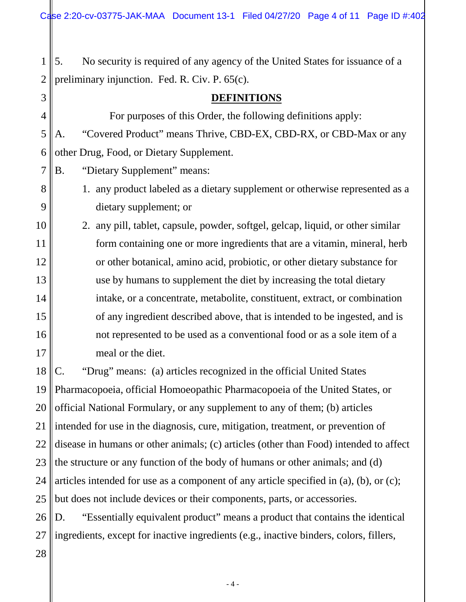1 2 5. No security is required of any agency of the United States for issuance of a preliminary injunction. Fed. R. Civ. P. 65(c).

3 4 5 6 7 8 9 10 11 12 13 14 15 16 17 18 19 20 21 22 23 24 25 26 27 **DEFINITIONS** For purposes of this Order, the following definitions apply: A. "Covered Product" means Thrive, CBD-EX, CBD-RX, or CBD-Max or any other Drug, Food, or Dietary Supplement. B. "Dietary Supplement" means: 1. any product labeled as a dietary supplement or otherwise represented as a dietary supplement; or 2. any pill, tablet, capsule, powder, softgel, gelcap, liquid, or other similar form containing one or more ingredients that are a vitamin, mineral, herb or other botanical, amino acid, probiotic, or other dietary substance for use by humans to supplement the diet by increasing the total dietary intake, or a concentrate, metabolite, constituent, extract, or combination of any ingredient described above, that is intended to be ingested, and is not represented to be used as a conventional food or as a sole item of a meal or the diet. C. "Drug" means: (a) articles recognized in the official United States Pharmacopoeia, official Homoeopathic Pharmacopoeia of the United States, or official National Formulary, or any supplement to any of them; (b) articles intended for use in the diagnosis, cure, mitigation, treatment, or prevention of disease in humans or other animals; (c) articles (other than Food) intended to affect the structure or any function of the body of humans or other animals; and (d) articles intended for use as a component of any article specified in (a), (b), or (c); but does not include devices or their components, parts, or accessories. D. "Essentially equivalent product" means a product that contains the identical ingredients, except for inactive ingredients (e.g., inactive binders, colors, fillers,

28

- 4 -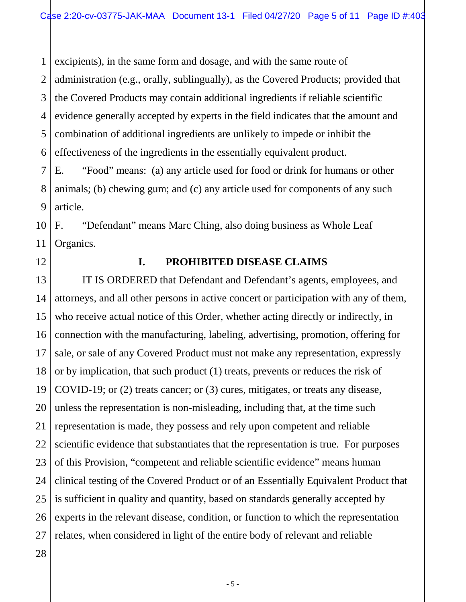1 2 3 4 5 6 excipients), in the same form and dosage, and with the same route of administration (e.g., orally, sublingually), as the Covered Products; provided that the Covered Products may contain additional ingredients if reliable scientific evidence generally accepted by experts in the field indicates that the amount and combination of additional ingredients are unlikely to impede or inhibit the effectiveness of the ingredients in the essentially equivalent product.

7 8 9 E. "Food" means: (a) any article used for food or drink for humans or other animals; (b) chewing gum; and (c) any article used for components of any such article.

10 11 F. "Defendant" means Marc Ching, also doing business as Whole Leaf Organics.

12

#### **I. PROHIBITED DISEASE CLAIMS**

13 14 15 16 17 18 19 20 21 22 23 24 25 26 27 IT IS ORDERED that Defendant and Defendant's agents, employees, and attorneys, and all other persons in active concert or participation with any of them, who receive actual notice of this Order, whether acting directly or indirectly, in connection with the manufacturing, labeling, advertising, promotion, offering for sale, or sale of any Covered Product must not make any representation, expressly or by implication, that such product (1) treats, prevents or reduces the risk of COVID-19; or (2) treats cancer; or (3) cures, mitigates, or treats any disease, unless the representation is non-misleading, including that, at the time such representation is made, they possess and rely upon competent and reliable scientific evidence that substantiates that the representation is true. For purposes of this Provision, "competent and reliable scientific evidence" means human clinical testing of the Covered Product or of an Essentially Equivalent Product that is sufficient in quality and quantity, based on standards generally accepted by experts in the relevant disease, condition, or function to which the representation relates, when considered in light of the entire body of relevant and reliable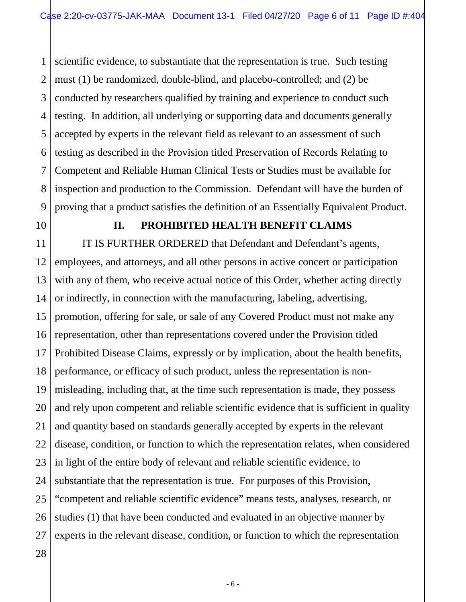1 2 3 4 5 6 7 8 9 scientific evidence, to substantiate that the representation is true. Such testing must (1) be randomized, double-blind, and placebo-controlled; and (2) be conducted by researchers qualified by training and experience to conduct such testing. In addition, all underlying or supporting data and documents generally accepted by experts in the relevant field as relevant to an assessment of such testing as described in the Provision titled Preservation of Records Relating to Competent and Reliable Human Clinical Tests or Studies must be available for inspection and production to the Commission. Defendant will have the burden of proving that a product satisfies the definition of an Essentially Equivalent Product.

10

28

#### **II. PROHIBITED HEALTH BENEFIT CLAIMS**

11 12 13 14 15 16 17 18 19 20 21 22 23 24 25 26 27 IT IS FURTHER ORDERED that Defendant and Defendant's agents, employees, and attorneys, and all other persons in active concert or participation with any of them, who receive actual notice of this Order, whether acting directly or indirectly, in connection with the manufacturing, labeling, advertising, promotion, offering for sale, or sale of any Covered Product must not make any representation, other than representations covered under the Provision titled Prohibited Disease Claims, expressly or by implication, about the health benefits, performance, or efficacy of such product, unless the representation is nonmisleading, including that, at the time such representation is made, they possess and rely upon competent and reliable scientific evidence that is sufficient in quality and quantity based on standards generally accepted by experts in the relevant disease, condition, or function to which the representation relates, when considered in light of the entire body of relevant and reliable scientific evidence, to substantiate that the representation is true. For purposes of this Provision, "competent and reliable scientific evidence" means tests, analyses, research, or studies (1) that have been conducted and evaluated in an objective manner by experts in the relevant disease, condition, or function to which the representation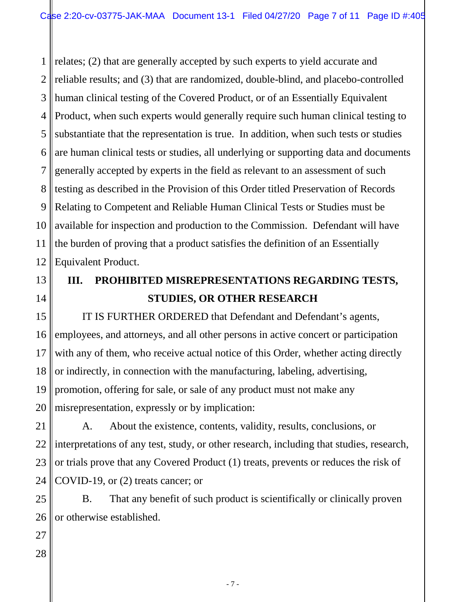1 2 3 4 5 6 7 8 9 10 relates; (2) that are generally accepted by such experts to yield accurate and reliable results; and (3) that are randomized, double-blind, and placebo-controlled human clinical testing of the Covered Product, or of an Essentially Equivalent Product, when such experts would generally require such human clinical testing to substantiate that the representation is true. In addition, when such tests or studies are human clinical tests or studies, all underlying or supporting data and documents generally accepted by experts in the field as relevant to an assessment of such testing as described in the Provision of this Order titled Preservation of Records Relating to Competent and Reliable Human Clinical Tests or Studies must be available for inspection and production to the Commission. Defendant will have the burden of proving that a product satisfies the definition of an Essentially Equivalent Product.

# **III. PROHIBITED MISREPRESENTATIONS REGARDING TESTS, STUDIES, OR OTHER RESEARCH**

IT IS FURTHER ORDERED that Defendant and Defendant's agents, employees, and attorneys, and all other persons in active concert or participation with any of them, who receive actual notice of this Order, whether acting directly or indirectly, in connection with the manufacturing, labeling, advertising, promotion, offering for sale, or sale of any product must not make any misrepresentation, expressly or by implication:

A. About the existence, contents, validity, results, conclusions, or interpretations of any test, study, or other research, including that studies, research, or trials prove that any Covered Product (1) treats, prevents or reduces the risk of COVID-19, or (2) treats cancer; or

B. That any benefit of such product is scientifically or clinically proven or otherwise established.

- 7 -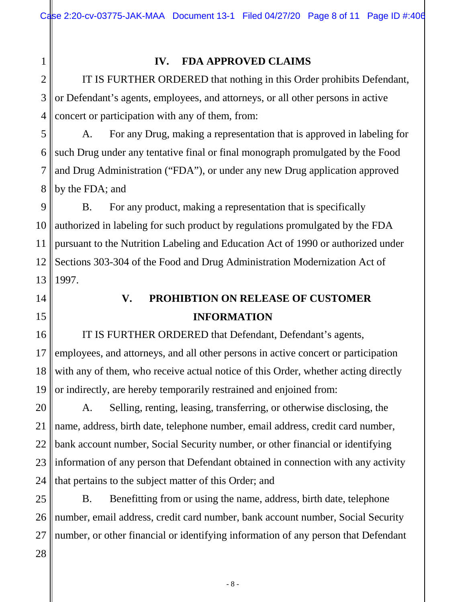## 1 2

3

4

### **IV. FDA APPROVED CLAIMS**

IT IS FURTHER ORDERED that nothing in this Order prohibits Defendant, or Defendant's agents, employees, and attorneys, or all other persons in active concert or participation with any of them, from:

5 6 7 8 A. For any Drug, making a representation that is approved in labeling for such Drug under any tentative final or final monograph promulgated by the Food and Drug Administration ("FDA"), or under any new Drug application approved by the FDA; and

9 10 11 12 13 B. For any product, making a representation that is specifically authorized in labeling for such product by regulations promulgated by the FDA pursuant to the Nutrition Labeling and Education Act of 1990 or authorized under Sections 303-304 of the Food and Drug Administration Modernization Act of 1997.

14

15

# **V. PROHIBTION ON RELEASE OF CUSTOMER INFORMATION**

16 17 18 19 IT IS FURTHER ORDERED that Defendant, Defendant's agents, employees, and attorneys, and all other persons in active concert or participation with any of them, who receive actual notice of this Order, whether acting directly or indirectly, are hereby temporarily restrained and enjoined from:

20 21 22 23 24 A. Selling, renting, leasing, transferring, or otherwise disclosing, the name, address, birth date, telephone number, email address, credit card number, bank account number, Social Security number, or other financial or identifying information of any person that Defendant obtained in connection with any activity that pertains to the subject matter of this Order; and

25 26 27 B. Benefitting from or using the name, address, birth date, telephone number, email address, credit card number, bank account number, Social Security number, or other financial or identifying information of any person that Defendant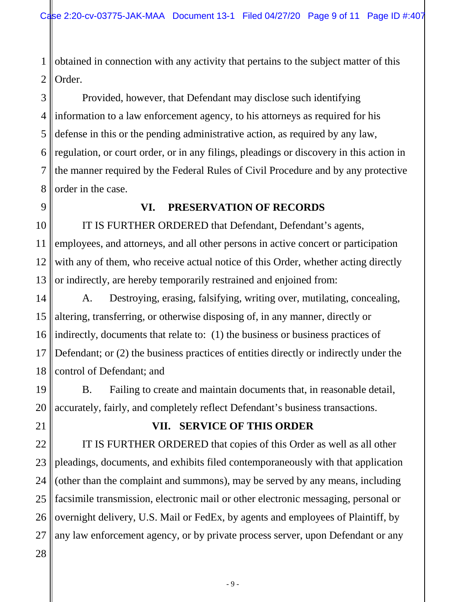1 2 obtained in connection with any activity that pertains to the subject matter of this Order.

3 4 5 6 7 8 Provided, however, that Defendant may disclose such identifying information to a law enforcement agency, to his attorneys as required for his defense in this or the pending administrative action, as required by any law, regulation, or court order, or in any filings, pleadings or discovery in this action in the manner required by the Federal Rules of Civil Procedure and by any protective order in the case.

9

#### **VI. PRESERVATION OF RECORDS**

10 11 12 13 IT IS FURTHER ORDERED that Defendant, Defendant's agents, employees, and attorneys, and all other persons in active concert or participation with any of them, who receive actual notice of this Order, whether acting directly or indirectly, are hereby temporarily restrained and enjoined from:

14 15 16 17 18 A. Destroying, erasing, falsifying, writing over, mutilating, concealing, altering, transferring, or otherwise disposing of, in any manner, directly or indirectly, documents that relate to: (1) the business or business practices of Defendant; or (2) the business practices of entities directly or indirectly under the control of Defendant; and

19 20 B. Failing to create and maintain documents that, in reasonable detail, accurately, fairly, and completely reflect Defendant's business transactions.

21 22 23

28

## **VII. SERVICE OF THIS ORDER**

24 25 26 27 IT IS FURTHER ORDERED that copies of this Order as well as all other pleadings, documents, and exhibits filed contemporaneously with that application (other than the complaint and summons), may be served by any means, including facsimile transmission, electronic mail or other electronic messaging, personal or overnight delivery, U.S. Mail or FedEx, by agents and employees of Plaintiff, by any law enforcement agency, or by private process server, upon Defendant or any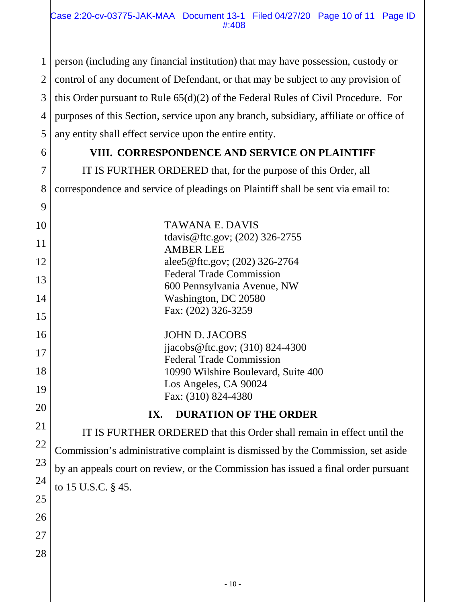1 2 3 4 5 person (including any financial institution) that may have possession, custody or control of any document of Defendant, or that may be subject to any provision of this Order pursuant to Rule 65(d)(2) of the Federal Rules of Civil Procedure. For purposes of this Section, service upon any branch, subsidiary, affiliate or office of any entity shall effect service upon the entire entity.

### **VIII. CORRESPONDENCE AND SERVICE ON PLAINTIFF**

IT IS FURTHER ORDERED that, for the purpose of this Order, all correspondence and service of pleadings on Plaintiff shall be sent via email to:

| 10 | TAWANA E. DAVIS                                                                    |
|----|------------------------------------------------------------------------------------|
| 11 | tdavis@ftc.gov; (202) 326-2755<br><b>AMBER LEE</b>                                 |
| 12 | alee5@ftc.gov; (202) 326-2764                                                      |
| 13 | <b>Federal Trade Commission</b>                                                    |
|    | 600 Pennsylvania Avenue, NW                                                        |
| 14 | Washington, DC 20580                                                               |
| 15 | Fax: (202) 326-3259                                                                |
| 16 | <b>JOHN D. JACOBS</b>                                                              |
| 17 | jjacobs@ftc.gov; $(310)$ 824-4300                                                  |
|    | <b>Federal Trade Commission</b>                                                    |
| 18 | 10990 Wilshire Boulevard, Suite 400                                                |
| 19 | Los Angeles, CA 90024                                                              |
|    | Fax: (310) 824-4380                                                                |
| 20 | <b>DURATION OF THE ORDER</b><br>IX.                                                |
| 21 | IT IS FURTHER ORDERED that this Order shall remain in effect until the             |
| 22 |                                                                                    |
| 23 | Commission's administrative complaint is dismissed by the Commission, set aside    |
|    | by an appeals court on review, or the Commission has issued a final order pursuant |

to 15 U.S.C. § 45.

24

25

26